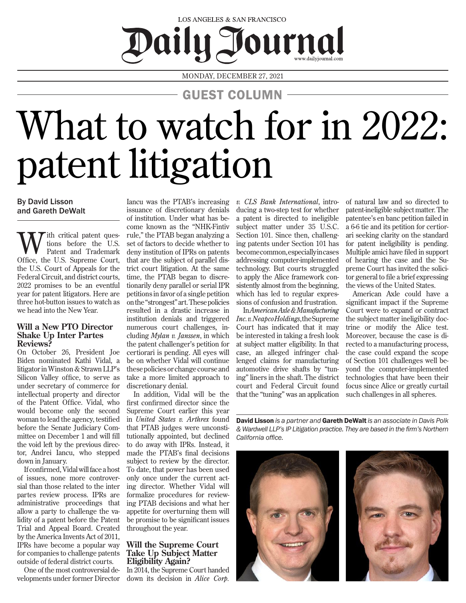## LOS ANGELES & SAN FRANCISCO Daily J Journal

MONDAY, DECEMBER 27, 2021

GUEST COLUMN

# What to watch for in 2022: patent litigation

### By David Lisson and Gareth DeWalt

W the critical patent ques-<br>
Patent and Trademark<br>
Office the U.S. Suppose Court tions before the U.S. Office, the U.S. Supreme Court, the U.S. Court of Appeals for the Federal Circuit, and district courts, 2022 promises to be an eventful year for patent litigators. Here are three hot-button issues to watch as we head into the New Year.

#### **Will a New PTO Director Shake Up Inter Partes Reviews?**

On October 26, President Joe Biden nominated Kathi Vidal, a litigator in Winston & Strawn LLP's Silicon Valley office, to serve as under secretary of commerce for intellectual property and director of the Patent Office. Vidal, who would become only the second woman to lead the agency, testified before the Senate Judiciary Committee on December 1 and will fill the void left by the previous director, Andrei Iancu, who stepped down in January.

If confirmed, Vidal will face a host of issues, none more controversial than those related to the inter partes review process. IPRs are administrative proceedings that allow a party to challenge the validity of a patent before the Patent Trial and Appeal Board. Created by the America Invents Act of 2011, IPRs have become a popular way for companies to challenge patents outside of federal district courts.

One of the most controversial developments under former Director

Iancu was the PTAB's increasing issuance of discretionary denials of institution. Under what has become known as the "NHK-Fintiv rule," the PTAB began analyzing a set of factors to decide whether to deny institution of IPRs on patents that are the subject of parallel district court litigation. At the same time, the PTAB began to discretionarily deny parallel or serial IPR petitions in favor of a single petition on the "strongest" art. These policies resulted in a drastic increase in institution denials and triggered numerous court challenges, including *Mylan v. Janssen*, in which the patent challenger's petition for certiorari is pending. All eyes will be on whether Vidal will continue these policies or change course and take a more limited approach to discretionary denial.

In addition, Vidal will be the first confirmed director since the Supreme Court earlier this year in *United States v. Arthrex* found that PTAB judges were unconstitutionally appointed, but declined to do away with IPRs. Instead, it made the PTAB's final decisions subject to review by the director. To date, that power has been used only once under the current acting director. Whether Vidal will formalize procedures for reviewing PTAB decisions and what her appetite for overturning them will be promise to be significant issues throughout the year.

#### **Will the Supreme Court Take Up Subject Matter Eligibility Again?**

In 2014, the Supreme Court handed down its decision in *Alice Corp.* 

*v. CLS Bank International*, introducing a two-step test for whether a patent is directed to ineligible subject matter under 35 U.S.C. Section 101. Since then, challenging patents under Section 101 has become common, especially in cases addressing computer-implemented technology. But courts struggled to apply the Alice framework consistently almost from the beginning, which has led to regular expressions of confusion and frustration.

In *American Axle & Manufacturing Inc. v. Neapco Holdings*, the Supreme Court has indicated that it may be interested in taking a fresh look at subject matter eligibility. In that case, an alleged infringer challenged claims for manufacturing automotive drive shafts by "tuning" liners in the shaft. The district court and Federal Circuit found that the "tuning" was an application of natural law and so directed to patent-ineligible subject matter. The patentee's en banc petition failed in a 6-6 tie and its petition for certiorari seeking clarity on the standard for patent ineligibility is pending. Multiple amici have filed in support of hearing the case and the Supreme Court has invited the solicitor general to file a brief expressing the views of the United States.

American Axle could have a significant impact if the Supreme Court were to expand or contract the subject matter ineligibility doctrine or modify the Alice test. Moreover, because the case is directed to a manufacturing process, the case could expand the scope of Section 101 challenges well beyond the computer-implemented technologies that have been their focus since Alice or greatly curtail such challenges in all spheres.

David Lisson *is a partner and* Gareth DeWalt *is an associate in Davis Polk & Wardwell LLP's IP Litigation practice. They are based in the firm's Northern California office.*